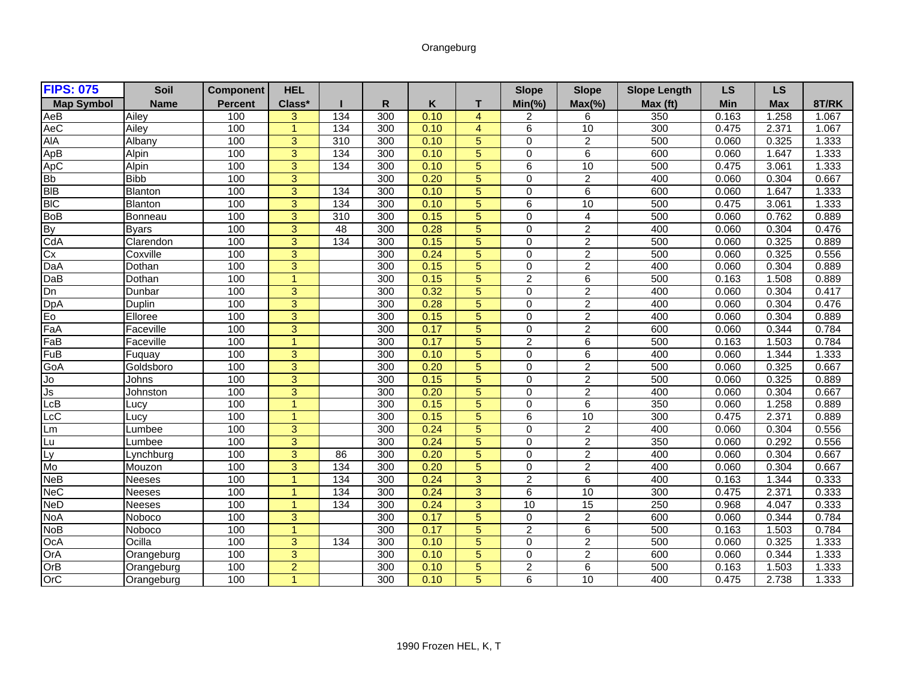## Orangeburg

| <b>FIPS: 075</b>     | Soil           | <b>Component</b> | <b>HEL</b>           |     |                  |      |                | <b>Slope</b>   | <b>Slope</b>    | <b>Slope Length</b> | <b>LS</b>  | <b>LS</b>  |       |
|----------------------|----------------|------------------|----------------------|-----|------------------|------|----------------|----------------|-----------------|---------------------|------------|------------|-------|
| <b>Map Symbol</b>    | <b>Name</b>    | <b>Percent</b>   | Class*               |     | R                | Κ    | т              | $Min(\% )$     | $Max(\%)$       | Max (ft)            | <b>Min</b> | <b>Max</b> | 8T/RK |
| AeB                  | Ailev          | 100              | 3                    | 134 | 300              | 0.10 | $\overline{4}$ | 2              | 6               | 350                 | 0.163      | 1.258      | 1.067 |
| AeC                  | Ailey          | 100              | $\blacktriangleleft$ | 134 | 300              | 0.10 | $\overline{4}$ | 6              | 10              | 300                 | 0.475      | 2.371      | 1.067 |
| <b>AIA</b>           | Albany         | 100              | $\overline{3}$       | 310 | 300              | 0.10 | 5              | $\Omega$       | $\overline{2}$  | 500                 | 0.060      | 0.325      | 1.333 |
| ApB                  | Alpin          | 100              | $\overline{3}$       | 134 | 300              | 0.10 | $\overline{5}$ | $\Omega$       | 6               | 600                 | 0.060      | 1.647      | 1.333 |
| ApC                  | Alpin          | 100              | $\overline{3}$       | 134 | 300              | 0.10 | $\overline{5}$ | 6              | 10              | 500                 | 0.475      | 3.061      | 1.333 |
| <b>Bb</b>            | <b>Bibb</b>    | 100              | 3                    |     | 300              | 0.20 | 5              | $\Omega$       | $\overline{2}$  | 400                 | 0.060      | 0.304      | 0.667 |
| <b>BIB</b>           | <b>Blanton</b> | 100              | $\overline{3}$       | 134 | 300              | 0.10 | $\overline{5}$ | $\Omega$       | $6\overline{6}$ | 600                 | 0.060      | 1.647      | 1.333 |
| <b>BIC</b>           | <b>Blanton</b> | 100              | $\overline{3}$       | 134 | 300              | 0.10 | 5              | 6              | 10              | 500                 | 0.475      | 3.061      | 1.333 |
| BoB<br>By            | Bonneau        | 100              | $\overline{3}$       | 310 | 300              | 0.15 | $\overline{5}$ | $\Omega$       | 4               | 500                 | 0.060      | 0.762      | 0.889 |
|                      | <b>Byars</b>   | 100              | 3                    | 48  | 300              | 0.28 | $\overline{5}$ | $\Omega$       | $\overline{2}$  | 400                 | 0.060      | 0.304      | 0.476 |
| CdA                  | Clarendon      | 100              | $\overline{3}$       | 134 | $\overline{300}$ | 0.15 | $\overline{5}$ | $\Omega$       | $\overline{2}$  | 500                 | 0.060      | 0.325      | 0.889 |
| Cx                   | Coxville       | 100              | $\overline{3}$       |     | 300              | 0.24 | $\overline{5}$ | $\Omega$       | $\overline{2}$  | 500                 | 0.060      | 0.325      | 0.556 |
| DaA                  | Dothan         | 100              | 3                    |     | 300              | 0.15 | 5              | $\Omega$       | $\overline{2}$  | 400                 | 0.060      | 0.304      | 0.889 |
| DaB                  | Dothan         | 100              | $\blacktriangleleft$ |     | 300              | 0.15 | $\overline{5}$ | $\overline{c}$ | 6               | 500                 | 0.163      | 1.508      | 0.889 |
| Dn                   | Dunbar         | 100              | $\overline{3}$       |     | 300              | 0.32 | $\overline{5}$ | $\Omega$       | $\overline{2}$  | 400                 | 0.060      | 0.304      | 0.417 |
| DpA<br>Eo            | Duplin         | 100              | $\overline{3}$       |     | 300              | 0.28 | $\overline{5}$ | $\Omega$       | $\overline{2}$  | 400                 | 0.060      | 0.304      | 0.476 |
|                      | Elloree        | 100              | $\overline{3}$       |     | $\overline{300}$ | 0.15 | $\overline{5}$ | $\Omega$       | $\overline{2}$  | 400                 | 0.060      | 0.304      | 0.889 |
| FaA                  | Faceville      | 100              | 3                    |     | 300              | 0.17 | $\overline{5}$ | $\Omega$       | $\overline{2}$  | 600                 | 0.060      | 0.344      | 0.784 |
| FaB                  | Faceville      | 100              | $\overline{1}$       |     | 300              | 0.17 | $\overline{5}$ | $\overline{c}$ | 6               | 500                 | 0.163      | 1.503      | 0.784 |
| FuB                  | Fuguay         | 100              | 3                    |     | 300              | 0.10 | 5              | $\Omega$       | $\overline{6}$  | 400                 | 0.060      | 1.344      | 1.333 |
| GoA                  | Goldsboro      | 100              | $\overline{3}$       |     | 300              | 0.20 | $\overline{5}$ | $\Omega$       | $\overline{2}$  | 500                 | 0.060      | 0.325      | 0.667 |
| IJο                  | Johns          | 100              | $\overline{3}$       |     | 300              | 0.15 | $\overline{5}$ | $\Omega$       | $\overline{2}$  | 500                 | 0.060      | 0.325      | 0.889 |
| Js                   | Johnston       | 100              | $\overline{3}$       |     | 300              | 0.20 | $\overline{5}$ | $\Omega$       | $\overline{2}$  | 400                 | 0.060      | 0.304      | 0.667 |
| LcB                  | Lucv           | 100              | $\overline{1}$       |     | $\overline{300}$ | 0.15 | $\overline{5}$ | $\Omega$       | $6\overline{6}$ | 350                 | 0.060      | 1.258      | 0.889 |
| LcC                  | Lucy           | 100              | $\overline{1}$       |     | 300              | 0.15 | 5              | 6              | 10              | 300                 | 0.475      | 2.371      | 0.889 |
| Lm                   | Lumbee         | 100              | 3                    |     | 300              | 0.24 | 5              | $\Omega$       | $\overline{2}$  | 400                 | 0.060      | 0.304      | 0.556 |
| Lu                   | Lumbee         | 100              | 3                    |     | 300              | 0.24 | 5              | $\Omega$       | $\overline{2}$  | 350                 | 0.060      | 0.292      | 0.556 |
| Ly<br>Mo             | Lynchburg      | 100              | $\overline{3}$       | 86  | 300              | 0.20 | $\overline{5}$ | $\Omega$       | $\overline{c}$  | 400                 | 0.060      | 0.304      | 0.667 |
|                      | Mouzon         | 100              | $\overline{3}$       | 134 | 300              | 0.20 | $\overline{5}$ | $\mathbf 0$    | $\overline{2}$  | 400                 | 0.060      | 0.304      | 0.667 |
| $\overline{\sf NeB}$ | Neeses         | 100              | $\overline{1}$       | 134 | 300              | 0.24 | $\overline{3}$ | $\overline{c}$ | 6               | 400                 | 0.163      | 1.344      | 0.333 |
| <b>NeC</b>           | Neeses         | 100              | $\blacktriangleleft$ | 134 | 300              | 0.24 | $\overline{3}$ | 6              | 10              | 300                 | 0.475      | 2.371      | 0.333 |
| <b>NeD</b>           | <b>Neeses</b>  | 100              | $\overline{1}$       | 134 | 300              | 0.24 | $\overline{3}$ | 10             | 15              | 250                 | 0.968      | 4.047      | 0.333 |
| <b>NoA</b>           | Noboco         | 100              | $\overline{3}$       |     | 300              | 0.17 | 5              | $\mathbf 0$    | $\overline{c}$  | 600                 | 0.060      | 0.344      | 0.784 |
| <b>NoB</b>           | Noboco         | 100              | $\overline{1}$       |     | 300              | 0.17 | 5              | $\overline{c}$ | 6               | 500                 | 0.163      | 1.503      | 0.784 |
| Oc <sub>A</sub>      | Ocilla         | 100              | $\overline{3}$       | 134 | $\overline{300}$ | 0.10 | $\overline{5}$ | $\Omega$       | $\overline{2}$  | 500                 | 0.060      | 0.325      | 1.333 |
| OrA                  | Orangeburg     | 100              | $\overline{3}$       |     | 300              | 0.10 | $\overline{5}$ | $\Omega$       | $\overline{2}$  | 600                 | 0.060      | 0.344      | 1.333 |
| OrB                  | Orangeburg     | 100              | $\overline{2}$       |     | 300              | 0.10 | 5              | $\overline{2}$ | $\overline{6}$  | 500                 | 0.163      | 1.503      | 1.333 |
| OrC                  | Orangeburg     | 100              | $\overline{1}$       |     | 300              | 0.10 | $\overline{5}$ | 6              | 10              | 400                 | 0.475      | 2.738      | 1.333 |